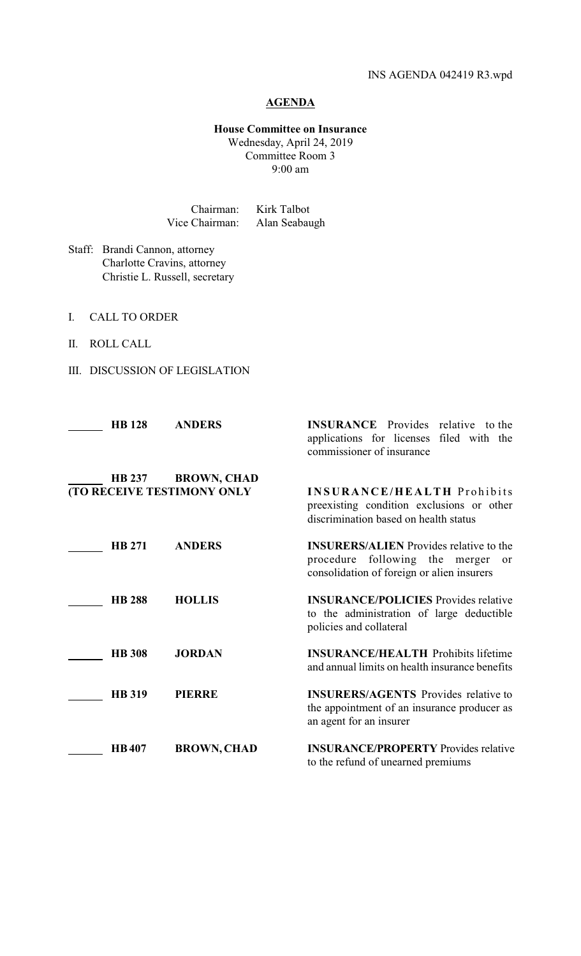## **AGENDA**

## **House Committee on Insurance** Wednesday, April 24, 2019 Committee Room 3 9:00 am

Chairman: Kirk Talbot Vice Chairman: Alan Seabaugh

Staff: Brandi Cannon, attorney Charlotte Cravins, attorney Christie L. Russell, secretary

- I. CALL TO ORDER
- II. ROLL CALL
- III. DISCUSSION OF LEGISLATION

| <b>HB</b> 128 | <b>ANDERS</b>                                    | <b>INSURANCE</b> Provides relative<br>to the<br>applications for licenses filed with the<br>commissioner of insurance                           |
|---------------|--------------------------------------------------|-------------------------------------------------------------------------------------------------------------------------------------------------|
| <b>HB 237</b> | <b>BROWN, CHAD</b><br>(TO RECEIVE TESTIMONY ONLY | <b>INSURANCE/HEALTH Prohibits</b><br>preexisting condition exclusions or other<br>discrimination based on health status                         |
| <b>HB 271</b> | <b>ANDERS</b>                                    | <b>INSURERS/ALIEN</b> Provides relative to the<br>procedure following the merger<br><sub>or</sub><br>consolidation of foreign or alien insurers |
| <b>HB 288</b> | <b>HOLLIS</b>                                    | <b>INSURANCE/POLICIES</b> Provides relative<br>to the administration of large deductible<br>policies and collateral                             |
| <b>HB</b> 308 | <b>JORDAN</b>                                    | <b>INSURANCE/HEALTH Prohibits lifetime</b><br>and annual limits on health insurance benefits                                                    |
| <b>HB</b> 319 | <b>PIERRE</b>                                    | <b>INSURERS/AGENTS</b> Provides relative to<br>the appointment of an insurance producer as<br>an agent for an insurer                           |
| <b>HB407</b>  | <b>BROWN, CHAD</b>                               | <b>INSURANCE/PROPERTY</b> Provides relative<br>to the refund of unearned premiums                                                               |